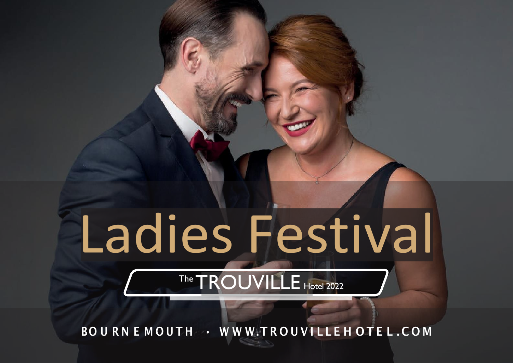# Ladies Festival

### The **TROUVILLE** Hotel 2022

BOU RN E MOUTH · WWW.TROUVILLEH OTEL.COM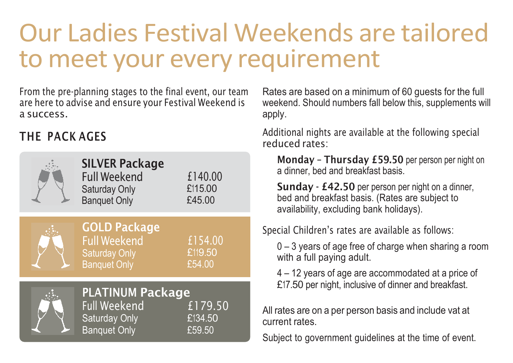## Our Ladies Festival Weekends are tailored to meet your every requirement

From the pre-planning stages to the final event, our team are here to advise and ensure your Festival Weekend is a success.

### THE PACK AGES

| <b>SILVER Package</b><br><b>Full Weekend</b><br><b>Saturday Only</b><br><b>Banquet Only</b>                                   | £140.00<br>£115.00<br>£45.00 |
|-------------------------------------------------------------------------------------------------------------------------------|------------------------------|
| <b>GOLD Package</b><br><b>Full Weekend</b><br><b>Saturday Only</b><br><b>Banquet Only</b>                                     | £154.00<br>£119.50<br>£54.00 |
| <b>PLATINUM Package</b><br><b>Full Weekend</b><br>£179.50<br><b>Saturday Only</b><br>£134.50<br><b>Banquet Only</b><br>£59.50 |                              |

Rates are based on a minimum of 60 guests for the full weekend. Should numbers fall below this, supplements will apply.

Additional nights are available at the following special reduced rates:

Monday – Thursday £59.50 per person per night on a dinner, bed and breakfast basis.

Sunday - £42.50 per person per night on a dinner, bed and breakfast basis. (Rates are subject to availability, excluding bank holidays).

Special Children's rates are available as follows:

0 – 3 years of age free of charge when sharing a room with a full paying adult.

4 – 12 years of age are accommodated at a price of £17.50 per night, inclusive of dinner and breakfast.

All rates are on a per person basis and include vat at current rates.

Subject to government guidelines at the time of event.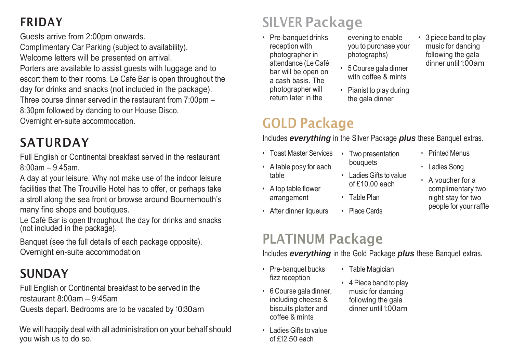Guests arrive from 2:00pm onwards.

Complimentary Car Parking (subject to availability). Welcome letters will be presented on arrival. Porters are available to assist guests with luggage and to escort them to their rooms. Le Cafe Bar is open throughout the day for drinks and snacks (not included in the package). Three course dinner served in the restaurant from  $7:00$ pm  $-$ 8:30pm followed by dancing to our House Disco. Overnight en-suite accommodation.

### SATURDAY

Full English or Continental breakfast served in the restaurant 8:00am – 9.45am.

A day at your leisure. Why not make use of the indoor leisure facilities that The Trouville Hotel has to offer, or perhaps take a stroll along the sea front or browse around Bournemouth's many fine shops and boutiques.

Le Café Bar is open throughout the day for drinks and snacks (not included in the package).

Banquet (see the full details of each package opposite). Overnight en-suite accommodation

### SUNDAY

Full English or Continental breakfast to be served in the restaurant 8:00am – 9:45am

Guests depart. Bedrooms are to be vacated by 10:30am

We will happily deal with all administration on your behalf should you wish us to do so.

### FRIDAY SILVER Package

• Pre-banquet drinks reception with photographer in attendance (Le Café bar will be open on a cash basis. The photographer will return later in the

### GOLD Package

Includes *everything* in the Silver Package *plus* these Banquet extras. • Two presentation

- Toast Master Services
- A table posy for each table
- A top table flower arrangement
- After dinner liqueurs

### PLATINUM Package

Includes *everything* in the Gold Package *plus* these Banquet extras.

 $\cdot$  Table Magician • 4 Piece band to play music for dancing following the gala dinner until 1:00am

- Pre-banquet bucks fizz reception
- 6 Course gala dinner, including cheese & biscuits platter and coffee & mints
- LadiesGifts to value of £12.50 each
- evening to enable you to purchase your photographs)
- 5 Course gala dinner with coffee & mints
- Pianist to play during the gala dinner
- 3 piece band to play music for dancing following the gala dinner until 1:00am

- Printed Menus
- Ladies Song
- A voucher for a complimentary two night stay for two people for your raffle
- 
- 
- Place Cards
- LadiesGifts to value of  $f10.00$  each
	-

bouquets

- Table Plan
-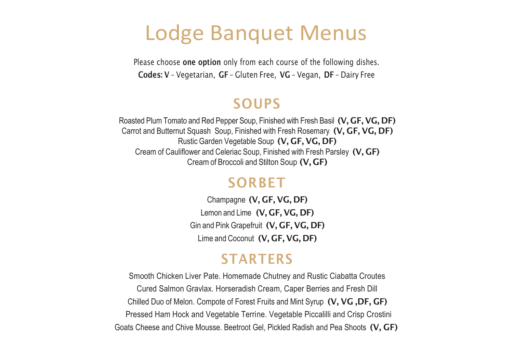### Lodge Banquet Menus

Please choose one option only from each course of the following dishes. Codes: V – Vegetarian, GF – Gluten Free, VG – Vegan, DF – Dairy Free

#### SOUPS

Roasted Plum Tomato and Red Pepper Soup, Finished with Fresh Basil (V, GF, VG, DF) Carrot and Butternut Squash Soup, Finished with Fresh Rosemary (V, GF, VG, DF) Rustic Garden Vegetable Soup (V, GF, VG, DF) Cream of Cauliflower and Celeriac Soup, Finished with Fresh Parsley (V, GF) Creamof Broccoli and Stilton Soup (V, GF)

### **SORBET**

Champagne (V, GF, VG, DF) Lemon and Lime (V, GF, VG, DF) Gin and Pink Grapefruit (V, GF, VG, DF) Lime and Coconut (V, GF, VG, DF)

### **STARTERS**

Smooth Chicken Liver Pate. Homemade Chutney and Rustic Ciabatta Croutes Cured Salmon Gravlax. Horseradish Cream, Caper Berries and Fresh Dill Chilled Duo of Melon. Compote of Forest Fruits and Mint Syrup (V, VG ,DF, GF) Pressed Ham Hock and Vegetable Terrine. Vegetable Piccalilli and Crisp Crostini Goats Cheese and Chive Mousse. Beetroot Gel, Pickled Radish and Pea Shoots (V, GF)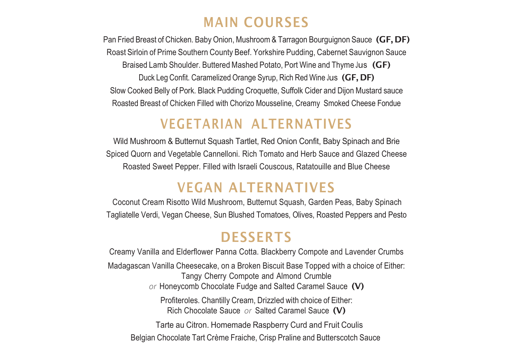### MAIN COURSES

Pan Fried Breast of Chicken. Baby Onion, Mushroom & Tarragon Bourguignon Sauce (GF, DF) Roast Sirloin of Prime Southern County Beef. Yorkshire Pudding, Cabernet Sauvignon Sauce Braised Lamb Shoulder. Buttered Mashed Potato, Port Wine and Thyme Jus (GF) Duck Leg Confit. Caramelized Orange Syrup, Rich Red Wine Jus (GF, DF) Slow Cooked Belly of Pork. Black Pudding Croquette, Suffolk Cider and Dijon Mustard sauce Roasted Breast of Chicken Filled with Chorizo Mousseline, Creamy Smoked Cheese Fondue

#### VEGETARIAN ALTERNATIVES

Wild Mushroom & Butternut Squash Tartlet, Red Onion Confit, Baby Spinach and Brie Spiced Quorn and Vegetable Cannelloni. Rich Tomato and Herb Sauce and Glazed Cheese Roasted Sweet Pepper. Filled with Israeli Couscous, Ratatouille and Blue Cheese

### VEGAN ALTERNATIVES

Coconut Cream Risotto Wild Mushroom, Butternut Squash, Garden Peas, Baby Spinach Tagliatelle Verdi, Vegan Cheese, Sun Blushed Tomatoes, Olives, Roasted Peppers and Pesto

### **DESSERTS**

Creamy Vanilla and Elderflower Panna Cotta. Blackberry Compote and Lavender Crumbs Madagascan Vanilla Cheesecake, on a Broken Biscuit Base Topped with a choice of Either: Tangy Cherry Compote and Almond Crumble *or* Honeycomb Chocolate Fudge and Salted Caramel Sauce (V) Profiteroles. Chantilly Cream, Drizzled with choice of Either: Rich Chocolate Sauce *or* Salted Caramel Sauce (V) Tarte au Citron. Homemade Raspberry Curd and Fruit Coulis Belgian Chocolate Tart Crème Fraiche, Crisp Praline and Butterscotch Sauce